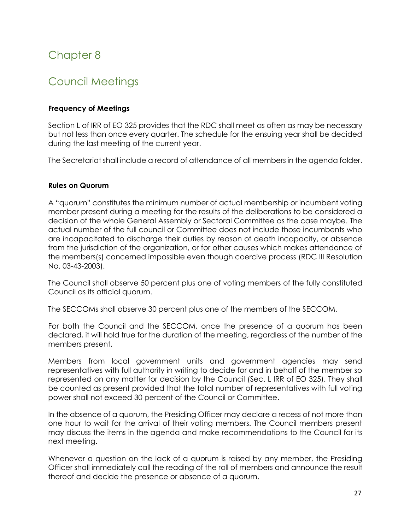# Chapter 8

# Council Meetings

# **Frequency of Meetings**

Section L of IRR of EO 325 provides that the RDC shall meet as often as may be necessary but not less than once every quarter. The schedule for the ensuing year shall be decided during the last meeting of the current year.

The Secretariat shall include a record of attendance of all members in the agenda folder.

### **Rules on Quorum**

A "quorum" constitutes the minimum number of actual membership or incumbent voting member present during a meeting for the results of the deliberations to be considered a decision of the whole General Assembly or Sectoral Committee as the case maybe. The actual number of the full council or Committee does not include those incumbents who are incapacitated to discharge their duties by reason of death incapacity, or absence from the jurisdiction of the organization, or for other causes which makes attendance of the members(s) concerned impossible even though coercive process (RDC III Resolution No. 03-43-2003).

The Council shall observe 50 percent plus one of voting members of the fully constituted Council as its official quorum.

The SECCOMs shall observe 30 percent plus one of the members of the SECCOM.

For both the Council and the SECCOM, once the presence of a quorum has been declared, it will hold true for the duration of the meeting, regardless of the number of the members present.

Members from local government units and government agencies may send representatives with full authority in writing to decide for and in behalf of the member so represented on any matter for decision by the Council (Sec. L IRR of EO 325). They shall be counted as present provided that the total number of representatives with full voting power shall not exceed 30 percent of the Council or Committee.

In the absence of a quorum, the Presiding Officer may declare a recess of not more than one hour to wait for the arrival of their voting members. The Council members present may discuss the items in the agenda and make recommendations to the Council for its next meeting.

Whenever a question on the lack of a quorum is raised by any member, the Presiding Officer shall immediately call the reading of the roll of members and announce the result thereof and decide the presence or absence of a quorum.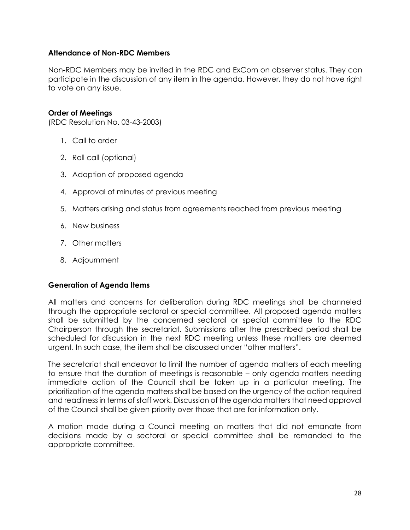## **Attendance of Non-RDC Members**

Non-RDC Members may be invited in the RDC and ExCom on observer status. They can participate in the discussion of any item in the agenda. However, they do not have right to vote on any issue.

### **Order of Meetings**

(RDC Resolution No. 03-43-2003)

- 1. Call to order
- 2. Roll call (optional)
- 3. Adoption of proposed agenda
- 4. Approval of minutes of previous meeting
- 5. Matters arising and status from agreements reached from previous meeting
- 6. New business
- 7. Other matters
- 8. Adjournment

#### **Generation of Agenda Items**

All matters and concerns for deliberation during RDC meetings shall be channeled through the appropriate sectoral or special committee. All proposed agenda matters shall be submitted by the concerned sectoral or special committee to the RDC Chairperson through the secretariat. Submissions after the prescribed period shall be scheduled for discussion in the next RDC meeting unless these matters are deemed urgent. In such case, the item shall be discussed under "other matters".

The secretariat shall endeavor to limit the number of agenda matters of each meeting to ensure that the duration of meetings is reasonable – only agenda matters needing immediate action of the Council shall be taken up in a particular meeting. The prioritization of the agenda matters shall be based on the urgency of the action required and readiness in terms of staff work. Discussion of the agenda matters that need approval of the Council shall be given priority over those that are for information only.

A motion made during a Council meeting on matters that did not emanate from decisions made by a sectoral or special committee shall be remanded to the appropriate committee.